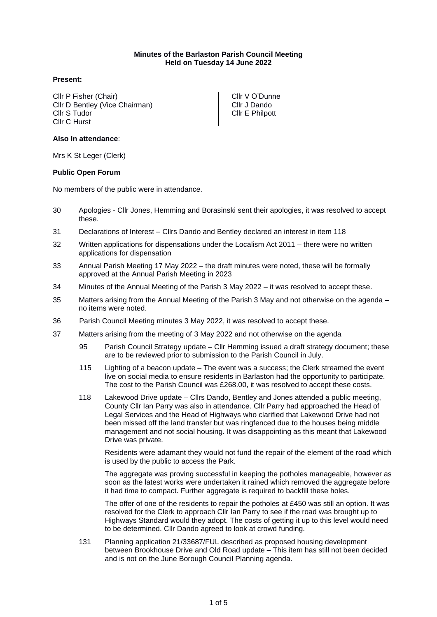### **Minutes of the Barlaston Parish Council Meeting Held on Tuesday 14 June 2022**

# **Present:**

Cllr P Fisher (Chair) Cllr D Bentley (Vice Chairman) Cllr S Tudor Cllr C Hurst

Cllr V O'Dunne Cllr J Dando Cllr E Philpott

# **Also In attendance**:

Mrs K St Leger (Clerk)

### **Public Open Forum**

No members of the public were in attendance.

- 30 Apologies Cllr Jones, Hemming and Borasinski sent their apologies, it was resolved to accept these.
- 31 Declarations of Interest Cllrs Dando and Bentley declared an interest in item 118
- 32 Written applications for dispensations under the Localism Act 2011 there were no written applications for dispensation
- 33 Annual Parish Meeting 17 May 2022 the draft minutes were noted, these will be formally approved at the Annual Parish Meeting in 2023
- 34 Minutes of the Annual Meeting of the Parish 3 May 2022 it was resolved to accept these.
- 35 Matters arising from the Annual Meeting of the Parish 3 May and not otherwise on the agenda no items were noted.
- 36 Parish Council Meeting minutes 3 May 2022, it was resolved to accept these.
- 37 Matters arising from the meeting of 3 May 2022 and not otherwise on the agenda
	- 95 Parish Council Strategy update Cllr Hemming issued a draft strategy document; these are to be reviewed prior to submission to the Parish Council in July.
	- 115 Lighting of a beacon update The event was a success; the Clerk streamed the event live on social media to ensure residents in Barlaston had the opportunity to participate. The cost to the Parish Council was £268.00, it was resolved to accept these costs.
	- 118 Lakewood Drive update Cllrs Dando, Bentley and Jones attended a public meeting, County Cllr Ian Parry was also in attendance. Cllr Parry had approached the Head of Legal Services and the Head of Highways who clarified that Lakewood Drive had not been missed off the land transfer but was ringfenced due to the houses being middle management and not social housing. It was disappointing as this meant that Lakewood Drive was private.

Residents were adamant they would not fund the repair of the element of the road which is used by the public to access the Park.

The aggregate was proving successful in keeping the potholes manageable, however as soon as the latest works were undertaken it rained which removed the aggregate before it had time to compact. Further aggregate is required to backfill these holes.

The offer of one of the residents to repair the potholes at £450 was still an option. It was resolved for the Clerk to approach Cllr Ian Parry to see if the road was brought up to Highways Standard would they adopt. The costs of getting it up to this level would need to be determined. Cllr Dando agreed to look at crowd funding.

131 Planning application 21/33687/FUL described as proposed housing development between Brookhouse Drive and Old Road update – This item has still not been decided and is not on the June Borough Council Planning agenda.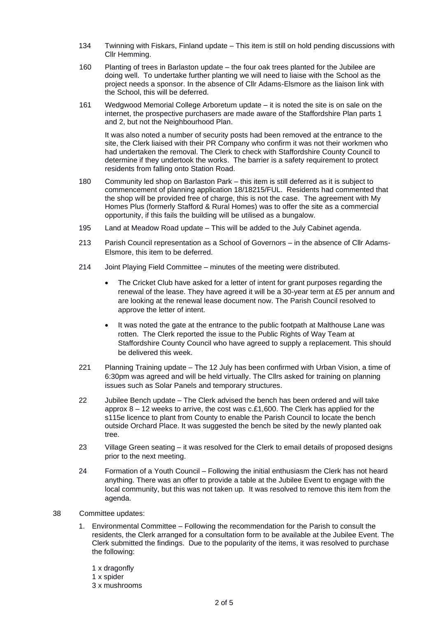- 134 Twinning with Fiskars, Finland update This item is still on hold pending discussions with Cllr Hemming.
- 160 Planting of trees in Barlaston update the four oak trees planted for the Jubilee are doing well. To undertake further planting we will need to liaise with the School as the project needs a sponsor. In the absence of Cllr Adams-Elsmore as the liaison link with the School, this will be deferred.
- 161 Wedgwood Memorial College Arboretum update it is noted the site is on sale on the internet, the prospective purchasers are made aware of the Staffordshire Plan parts 1 and 2, but not the Neighbourhood Plan.

It was also noted a number of security posts had been removed at the entrance to the site, the Clerk liaised with their PR Company who confirm it was not their workmen who had undertaken the removal. The Clerk to check with Staffordshire County Council to determine if they undertook the works. The barrier is a safety requirement to protect residents from falling onto Station Road.

- 180 Community led shop on Barlaston Park this item is still deferred as it is subject to commencement of planning application 18/18215/FUL. Residents had commented that the shop will be provided free of charge, this is not the case. The agreement with My Homes Plus (formerly Stafford & Rural Homes) was to offer the site as a commercial opportunity, if this fails the building will be utilised as a bungalow.
- 195 Land at Meadow Road update This will be added to the July Cabinet agenda.
- 213 Parish Council representation as a School of Governors in the absence of Cllr Adams-Elsmore, this item to be deferred.
- 214 Joint Playing Field Committee minutes of the meeting were distributed.
	- The Cricket Club have asked for a letter of intent for grant purposes regarding the renewal of the lease. They have agreed it will be a 30-year term at £5 per annum and are looking at the renewal lease document now. The Parish Council resolved to approve the letter of intent.
	- It was noted the gate at the entrance to the public footpath at Malthouse Lane was rotten. The Clerk reported the issue to the Public Rights of Way Team at Staffordshire County Council who have agreed to supply a replacement. This should be delivered this week.
- 221 Planning Training update The 12 July has been confirmed with Urban Vision, a time of 6:30pm was agreed and will be held virtually. The Cllrs asked for training on planning issues such as Solar Panels and temporary structures.
- 22 Jubilee Bench update The Clerk advised the bench has been ordered and will take approx  $8 - 12$  weeks to arrive, the cost was c.£1,600. The Clerk has applied for the s115e licence to plant from County to enable the Parish Council to locate the bench outside Orchard Place. It was suggested the bench be sited by the newly planted oak tree.
- 23 Village Green seating it was resolved for the Clerk to email details of proposed designs prior to the next meeting.
- 24 Formation of a Youth Council Following the initial enthusiasm the Clerk has not heard anything. There was an offer to provide a table at the Jubilee Event to engage with the local community, but this was not taken up. It was resolved to remove this item from the agenda.
- 38 Committee updates:
	- 1. Environmental Committee Following the recommendation for the Parish to consult the residents, the Clerk arranged for a consultation form to be available at the Jubilee Event. The Clerk submitted the findings. Due to the popularity of the items, it was resolved to purchase the following:
		- 1 x dragonfly 1 x spider
		- 3 x mushrooms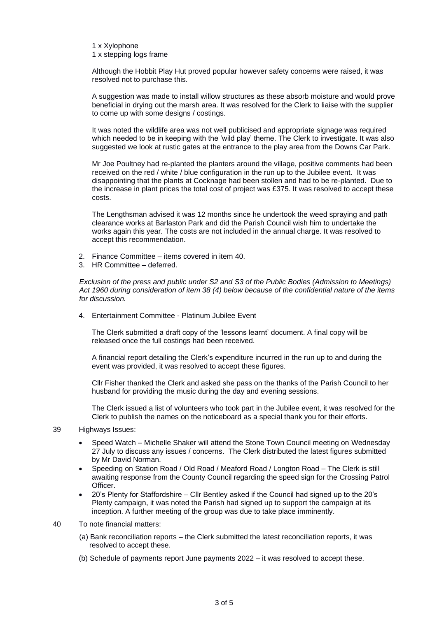1 x Xylophone 1 x stepping logs frame

Although the Hobbit Play Hut proved popular however safety concerns were raised, it was resolved not to purchase this.

A suggestion was made to install willow structures as these absorb moisture and would prove beneficial in drying out the marsh area. It was resolved for the Clerk to liaise with the supplier to come up with some designs / costings.

It was noted the wildlife area was not well publicised and appropriate signage was required which needed to be in keeping with the 'wild play' theme. The Clerk to investigate. It was also suggested we look at rustic gates at the entrance to the play area from the Downs Car Park.

Mr Joe Poultney had re-planted the planters around the village, positive comments had been received on the red / white / blue configuration in the run up to the Jubilee event. It was disappointing that the plants at Cocknage had been stollen and had to be re-planted. Due to the increase in plant prices the total cost of project was £375. It was resolved to accept these costs.

The Lengthsman advised it was 12 months since he undertook the weed spraying and path clearance works at Barlaston Park and did the Parish Council wish him to undertake the works again this year. The costs are not included in the annual charge. It was resolved to accept this recommendation.

- 2. Finance Committee items covered in item 40.
- 3. HR Committee deferred.

*Exclusion of the press and public under S2 and S3 of the Public Bodies (Admission to Meetings) Act 1960 during consideration of item 38 (4) below because of the confidential nature of the items for discussion.* 

4. Entertainment Committee - Platinum Jubilee Event

The Clerk submitted a draft copy of the 'lessons learnt' document. A final copy will be released once the full costings had been received.

A financial report detailing the Clerk's expenditure incurred in the run up to and during the event was provided, it was resolved to accept these figures.

Cllr Fisher thanked the Clerk and asked she pass on the thanks of the Parish Council to her husband for providing the music during the day and evening sessions.

The Clerk issued a list of volunteers who took part in the Jubilee event, it was resolved for the Clerk to publish the names on the noticeboard as a special thank you for their efforts.

#### 39 Highways Issues:

- Speed Watch Michelle Shaker will attend the Stone Town Council meeting on Wednesday 27 July to discuss any issues / concerns. The Clerk distributed the latest figures submitted by Mr David Norman.
- Speeding on Station Road / Old Road / Meaford Road / Longton Road The Clerk is still awaiting response from the County Council regarding the speed sign for the Crossing Patrol Officer.
- 20's Plenty for Staffordshire Cllr Bentley asked if the Council had signed up to the 20's Plenty campaign, it was noted the Parish had signed up to support the campaign at its inception. A further meeting of the group was due to take place imminently.
- 40 To note financial matters:
	- (a) Bank reconciliation reports the Clerk submitted the latest reconciliation reports, it was resolved to accept these.
	- (b) Schedule of payments report June payments 2022 it was resolved to accept these.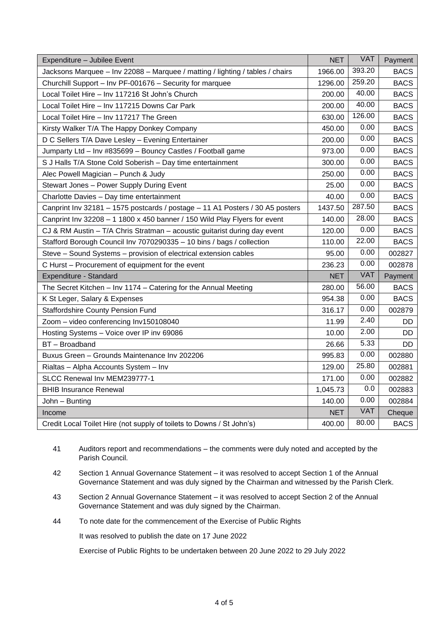| Expenditure - Jubilee Event                                                   | <b>NET</b> | <b>VAT</b> | Payment     |
|-------------------------------------------------------------------------------|------------|------------|-------------|
| Jacksons Marquee - Inv 22088 - Marquee / matting / lighting / tables / chairs | 1966.00    | 393.20     | <b>BACS</b> |
| Churchill Support - Inv PF-001676 - Security for marquee                      | 1296.00    | 259.20     | <b>BACS</b> |
| Local Toilet Hire - Inv 117216 St John's Church                               | 200.00     | 40.00      | <b>BACS</b> |
| Local Toilet Hire - Inv 117215 Downs Car Park                                 | 200.00     | 40.00      | <b>BACS</b> |
| Local Toilet Hire - Inv 117217 The Green                                      | 630.00     | 126.00     | <b>BACS</b> |
| Kirsty Walker T/A The Happy Donkey Company                                    | 450.00     | 0.00       | <b>BACS</b> |
| D C Sellers T/A Dave Lesley - Evening Entertainer                             | 200.00     | 0.00       | <b>BACS</b> |
| Jumparty Ltd - Inv #835699 - Bouncy Castles / Football game                   | 973.00     | 0.00       | <b>BACS</b> |
| S J Halls T/A Stone Cold Soberish - Day time entertainment                    | 300.00     | 0.00       | <b>BACS</b> |
| Alec Powell Magician - Punch & Judy                                           | 250.00     | 0.00       | <b>BACS</b> |
| Stewart Jones - Power Supply During Event                                     | 25.00      | 0.00       | <b>BACS</b> |
| Charlotte Davies - Day time entertainment                                     | 40.00      | 0.00       | <b>BACS</b> |
| Canprint Inv 32181 - 1575 postcards / postage - 11 A1 Posters / 30 A5 posters | 1437.50    | 287.50     | <b>BACS</b> |
| Canprint Inv 32208 - 1 1800 x 450 banner / 150 Wild Play Flyers for event     | 140.00     | 28.00      | <b>BACS</b> |
| CJ & RM Austin - T/A Chris Stratman - acoustic guitarist during day event     | 120.00     | 0.00       | <b>BACS</b> |
| Stafford Borough Council Inv 7070290335 - 10 bins / bags / collection         | 110.00     | 22.00      | <b>BACS</b> |
| Steve - Sound Systems - provision of electrical extension cables              | 95.00      | 0.00       | 002827      |
| C Hurst – Procurement of equipment for the event                              | 236.23     | 0.00       | 002878      |
| Expenditure - Standard                                                        | <b>NET</b> | <b>VAT</b> | Payment     |
| The Secret Kitchen - Inv 1174 - Catering for the Annual Meeting               | 280.00     | 56.00      | <b>BACS</b> |
| K St Leger, Salary & Expenses                                                 | 954.38     | 0.00       | <b>BACS</b> |
| <b>Staffordshire County Pension Fund</b>                                      | 316.17     | 0.00       | 002879      |
| Zoom - video conferencing Inv150108040                                        | 11.99      | 2.40       | DD          |
| Hosting Systems - Voice over IP inv 69086                                     | 10.00      | 2.00       | DD          |
| BT - Broadband                                                                | 26.66      | 5.33       | DD.         |
| Buxus Green - Grounds Maintenance Inv 202206                                  | 995.83     | 0.00       | 002880      |
| Rialtas - Alpha Accounts System - Inv                                         | 129.00     | 25.80      | 002881      |
| SLCC Renewal Inv MEM239777-1                                                  | 171.00     | 0.00       | 002882      |
| <b>BHIB Insurance Renewal</b>                                                 | 1,045.73   | 0.0        | 002883      |
| John - Bunting                                                                | 140.00     | 0.00       | 002884      |
| Income                                                                        | <b>NET</b> | <b>VAT</b> | Cheque      |
| Credit Local Toilet Hire (not supply of toilets to Downs / St John's)         | 400.00     | 80.00      | <b>BACS</b> |

- 41 Auditors report and recommendations the comments were duly noted and accepted by the Parish Council.
- 42 Section 1 Annual Governance Statement it was resolved to accept Section 1 of the Annual Governance Statement and was duly signed by the Chairman and witnessed by the Parish Clerk.
- 43 Section 2 Annual Governance Statement it was resolved to accept Section 2 of the Annual Governance Statement and was duly signed by the Chairman.
- 44 To note date for the commencement of the Exercise of Public Rights

It was resolved to publish the date on 17 June 2022

Exercise of Public Rights to be undertaken between 20 June 2022 to 29 July 2022